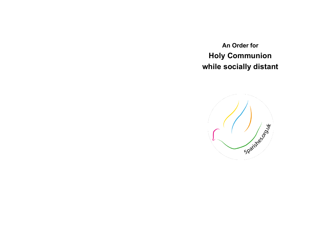**An Order for Holy Communion while socially distant**

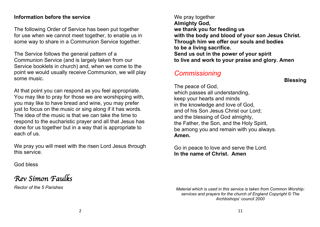#### **Information before the service**

The following Order of Service has been put together for use when we cannot meet together, to enable us in some way to share in a Communion Service together.

The Service follows the general pattern of a Communion Service (and is largely taken from our Service booklets in church) and, when we come to the point we would usually receive Communion, we will play some music.

At that point you can respond as you feel appropriate. You may like to pray for those we are worshipping with, you may like to have bread and wine, you may prefer just to focus on the music or sing along if it has words. The idea of the music is that we can take the time to respond to the eucharistic prayer and all that Jesus has done for us together but in a way that is appropriate to each of us.

We pray you will meet with the risen Lord Jesus through this service.

God bless

*Rev Simon Faulks* 

*Rector of the 5 Parishes*

We pray together **Almighty God, we thank you for feeding us with the body and blood of your son Jesus Christ. Through him we offer our souls and bodies to be a living sacrifice. Send us out in the power of your spirit to live and work to your praise and glory. Amen**

# *Commissioning*

The peace of God, which passes all understanding, keep your hearts and minds in the knowledge and love of God, and of his Son Jesus Christ our Lord; and the blessing of God almighty, the Father, the Son, and the Holy Spirit, be among you and remain with you always. **Amen.**

Go in peace to love and serve the Lord. **In the name of Christ. Amen**

*Material which is used in this service is taken from Common Worship: services and prayers for the church of England Copyright © The Archbishops' council 2000*

**Blessing**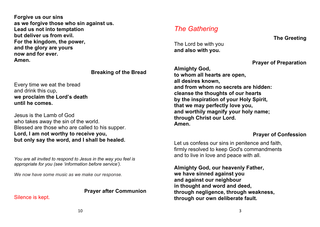**Forgive us our sins as we forgive those who sin against us. Lead us not into temptation but deliver us from evil. For the kingdom, the power, and the glory are yours now and for ever. Amen.**

#### **Breaking of the Bread**

Every time we eat the bread and drink this cup, **we proclaim the Lord's death until he comes.**

Jesus is the Lamb of God who takes away the sin of the world. Blessed are those who are called to his supper. **Lord, I am not worthy to receive you, but only say the word, and I shall be healed.**

*You are all invited to respond to Jesus in the way you feel is appropriate for you (see 'information before service').*

*We now have some music as we make our response.*

### **Prayer after Communion**

Silence is kept.

# *The Gathering*

The Lord be with you **and also with you.**

**Prayer of Preparation**

**Almighty God, to whom all hearts are open, all desires known, and from whom no secrets are hidden: cleanse the thoughts of our hearts by the inspiration of your Holy Spirit, that we may perfectly love you, and worthily magnify your holy name; through Christ our Lord. Amen.**

### **Prayer of Confession**

Let us confess our sins in penitence and faith, firmly resolved to keep God's commandments and to live in love and peace with all.

**Almighty God, our heavenly Father, we have sinned against you and against our neighbour in thought and word and deed, through negligence, through weakness, through our own deliberate fault.**

**The Greeting**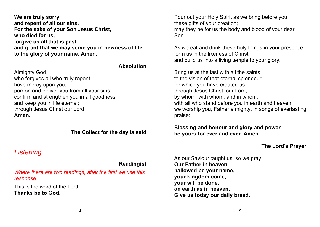**We are truly sorry and repent of all our sins. For the sake of your Son Jesus Christ, who died for us, forgive us all that is past and grant that we may serve you in newness of life to the glory of your name. Amen.**

#### **Absolution**

Almighty God, who forgives all who truly repent, have mercy upon you, pardon and deliver you from all your sins, confirm and strengthen you in all goodness, and keep you in life eternal; through Jesus Christ our Lord. **Amen.**

#### **The Collect for the day is said**

## *Listening*

**Reading(s)**

*Where there are two readings, after the first we use this response*

This is the word of the Lord. **Thanks be to God.**

Pour out your Holy Spirit as we bring before you these gifts of your creation; may they be for us the body and blood of your dear Son.

As we eat and drink these holy things in your presence, form us in the likeness of Christ. and build us into a living temple to your glory.

Bring us at the last with all the saints to the vision of that eternal splendour for which you have created us; through Jesus Christ, our Lord, by whom, with whom, and in whom, with all who stand before you in earth and heaven, we worship you, Father almighty, in songs of everlasting praise:

#### **Blessing and honour and glory and power be yours for ever and ever. Amen.**

### **The Lord's Prayer**

As our Saviour taught us, so we pray **Our Father in heaven, hallowed be your name, your kingdom come, your will be done, on earth as in heaven. Give us today our daily bread.**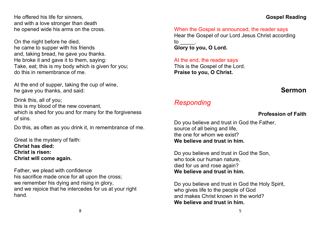### **Gospel Reading**

He offered his life for sinners, and with a love stronger than death he opened wide his arms on the cross.

On the night before he died, he came to supper with his friends and, taking bread, he gave you thanks. He broke it and gave it to them, saying: Take, eat; this is my body which is given for you; do this in remembrance of me.

At the end of supper, taking the cup of wine, he gave you thanks, and said:

Drink this, all of you; this is my blood of the new covenant, which is shed for you and for many for the forgiveness of sins.

Do this, as often as you drink it, in remembrance of me.

Great is the mystery of faith: **Christ has died: Christ is risen: Christ will come again.**

Father, we plead with confidence his sacrifice made once for all upon the cross; we remember his dying and rising in glory, and we rejoice that he intercedes for us at your right hand.

When the Gospel is announced, the reader says Hear the Gospel of our Lord Jesus Christ according to \_\_\_\_\_. **Glory to you, O Lord.**

At the end, the reader says This is the Gospel of the Lord. **Praise to you, O Christ.**

# **Sermon**

# *Responding*

### **Profession of Faith**

Do you believe and trust in God the Father, source of all being and life, the one for whom we exist? **We believe and trust in him.**

Do you believe and trust in God the Son, who took our human nature. died for us and rose again? **We believe and trust in him.**

Do you believe and trust in God the Holy Spirit, who gives life to the people of God and makes Christ known in the world? **We believe and trust in him.**